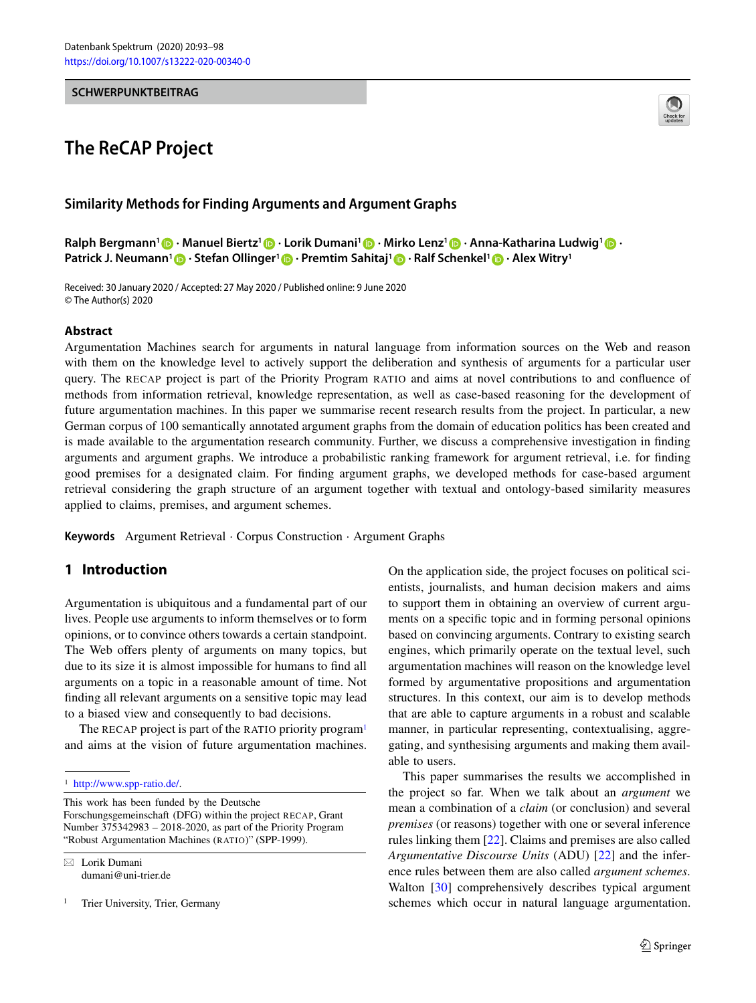#### **SCHWERPUNKTBEITRAG**

# **The ReCAP Project**



## **Similarity Methods for Finding Arguments and Argument Graphs**

**Ralph Bergmann<sup>1</sup> <b>D** · Manuel Biertz<sup>1</sup> **D** · Lorik Dumani<sup>1</sup> **D** · Mirko Lenz<sup>1</sup> **D** · Anna-Katharina Ludwig<sup>1</sup> **D** · **Patrick J. Neumann1 · Stefan Ollinger1 · Premtim Sahitaj1 · Ralf Schenkel1 · Alex Witry1**

Received: 30 January 2020 / Accepted: 27 May 2020 / Published online: 9 June 2020 © The Author(s) 2020

#### **Abstract**

Argumentation Machines search for arguments in natural language from information sources on the Web and reason with them on the knowledge level to actively support the deliberation and synthesis of arguments for a particular user query. The RECAP project is part of the Priority Program RATIO and aims at novel contributions to and confluence of methods from information retrieval, knowledge representation, as well as case-based reasoning for the development of future argumentation machines. In this paper we summarise recent research results from the project. In particular, a new German corpus of 100 semantically annotated argument graphs from the domain of education politics has been created and is made available to the argumentation research community. Further, we discuss a comprehensive investigation in finding arguments and argument graphs. We introduce a probabilistic ranking framework for argument retrieval, i.e. for finding good premises for a designated claim. For finding argument graphs, we developed methods for case-based argument retrieval considering the graph structure of an argument together with textual and ontology-based similarity measures applied to claims, premises, and argument schemes.

**Keywords** Argument Retrieval · Corpus Construction · Argument Graphs

# **1 Introduction**

Argumentation is ubiquitous and a fundamental part of our lives. People use arguments to inform themselves or to form opinions, or to convince others towards a certain standpoint. The Web offers plenty of arguments on many topics, but due to its size it is almost impossible for humans to find all arguments on a topic in a reasonable amount of time. Not finding all relevant arguments on a sensitive topic may lead to a biased view and consequently to bad decisions.

The RECAP project is part of the RATIO priority program<sup>1</sup> and aims at the vision of future argumentation machines.

This work has been funded by the Deutsche Forschungsgemeinschaft (DFG) within the project RECAP, Grant Number 375342983 – 2018-2020, as part of the Priority Program "Robust Argumentation Machines (RATIO)" (SPP-1999).

- Lorik Dumani dumani@uni-trier.de

Trier University, Trier, Germany

On the application side, the project focuses on political scientists, journalists, and human decision makers and aims to support them in obtaining an overview of current arguments on a specific topic and in forming personal opinions based on convincing arguments. Contrary to existing search engines, which primarily operate on the textual level, such argumentation machines will reason on the knowledge level formed by argumentative propositions and argumentation structures. In this context, our aim is to develop methods that are able to capture arguments in a robust and scalable manner, in particular representing, contextualising, aggregating, and synthesising arguments and making them available to users.

This paper summarises the results we accomplished in the project so far. When we talk about an *argument* we mean a combination of a *claim* (or conclusion) and several *premises* (or reasons) together with one or several inference rules linking them [\[22\]](#page-5-0). Claims and premises are also called *Argumentative Discourse Units* (ADU) [\[22\]](#page-5-0) and the inference rules between them are also called *argument schemes*. Walton [\[30\]](#page-5-1) comprehensively describes typical argument schemes which occur in natural language argumentation.

<span id="page-0-0"></span><sup>1</sup> [http://www.spp-ratio.de/.](http://www.spp-ratio.de/)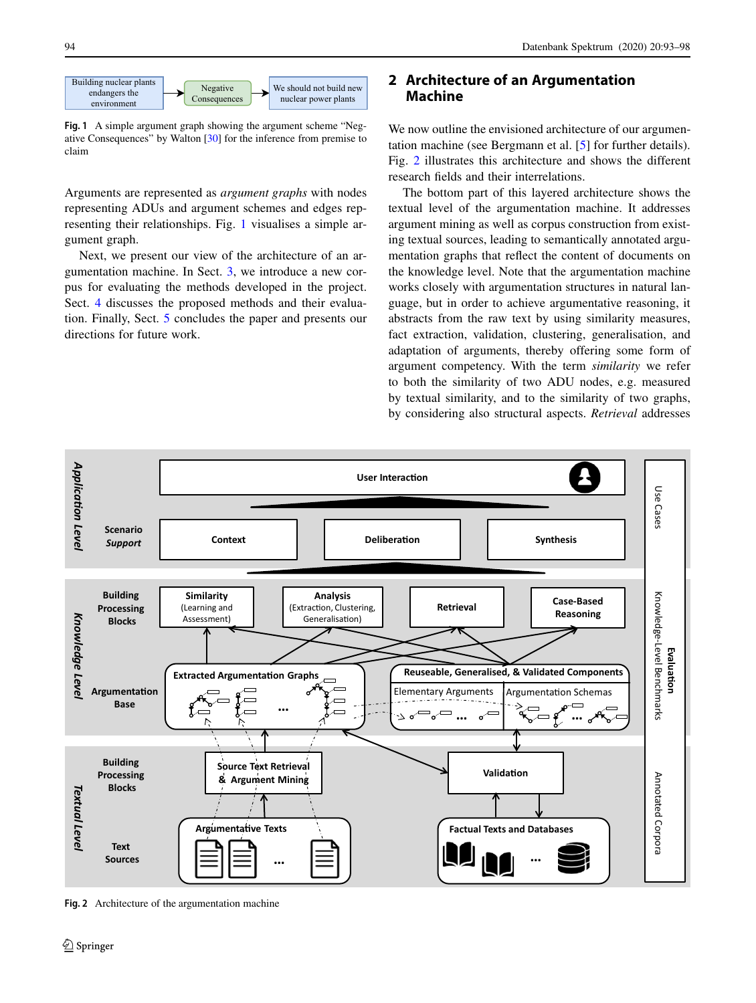

<span id="page-1-0"></span>**Fig. 1** A simple argument graph showing the argument scheme "Negative Consequences" by Walton [\[30\]](#page-5-1) for the inference from premise to claim

Arguments are represented as *argument graphs* with nodes representing ADUs and argument schemes and edges representing their relationships. Fig. [1](#page-1-0) visualises a simple argument graph.

Next, we present our view of the architecture of an argumentation machine. In Sect. [3,](#page-1-1) we introduce a new corpus for evaluating the methods developed in the project. Sect. [4](#page-2-0) discusses the proposed methods and their evaluation. Finally, Sect. [5](#page-2-0) concludes the paper and presents our directions for future work.

## **2 Architecture of an Argumentation Machine**

We now outline the envisioned architecture of our argumentation machine (see Bergmann et al. [\[5\]](#page-5-2) for further details). Fig. [2](#page-1-1) illustrates this architecture and shows the different research fields and their interrelations.

The bottom part of this layered architecture shows the textual level of the argumentation machine. It addresses argument mining as well as corpus construction from existing textual sources, leading to semantically annotated argumentation graphs that reflect the content of documents on the knowledge level. Note that the argumentation machine works closely with argumentation structures in natural language, but in order to achieve argumentative reasoning, it abstracts from the raw text by using similarity measures, fact extraction, validation, clustering, generalisation, and adaptation of arguments, thereby offering some form of argument competency. With the term *similarity* we refer to both the similarity of two ADU nodes, e.g. measured by textual similarity, and to the similarity of two graphs, by considering also structural aspects. *Retrieval* addresses



<span id="page-1-1"></span>**Fig. 2** Architecture of the argumentation machine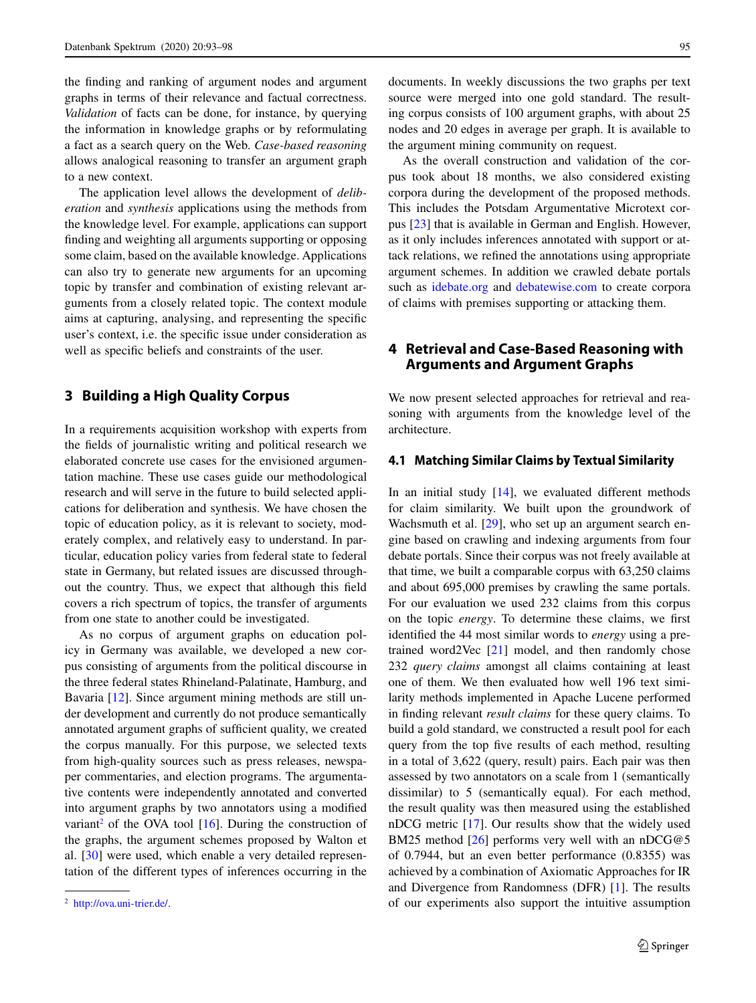the finding and ranking of argument nodes and argument graphs in terms of their relevance and factual correctness. *Validation* of facts can be done, for instance, by querying the information in knowledge graphs or by reformulating a fact as a search query on the Web. *Case-based reasoning* allows analogical reasoning to transfer an argument graph to a new context.

The application level allows the development of *deliberation* and *synthesis* applications using the methods from the knowledge level. For example, applications can support finding and weighting all arguments supporting or opposing some claim, based on the available knowledge. Applications can also try to generate new arguments for an upcoming topic by transfer and combination of existing relevant arguments from a closely related topic. The context module aims at capturing, analysing, and representing the specific user's context, i.e. the specific issue under consideration as well as specific beliefs and constraints of the user.

## **3 Building a High Quality Corpus**

In a requirements acquisition workshop with experts from the fields of journalistic writing and political research we elaborated concrete use cases for the envisioned argumentation machine. These use cases guide our methodological research and will serve in the future to build selected applications for deliberation and synthesis. We have chosen the topic of education policy, as it is relevant to society, moderately complex, and relatively easy to understand. In particular, education policy varies from federal state to federal state in Germany, but related issues are discussed throughout the country. Thus, we expect that although this field covers a rich spectrum of topics, the transfer of arguments from one state to another could be investigated.

As no corpus of argument graphs on education policy in Germany was available, we developed a new corpus consisting of arguments from the political discourse in the three federal states Rhineland-Palatinate, Hamburg, and Bavaria [\[12\]](#page-5-3). Since argument mining methods are still under development and currently do not produce semantically annotated argument graphs of sufficient quality, we created the corpus manually. For this purpose, we selected texts from high-quality sources such as press releases, newspaper commentaries, and election programs. The argumentative contents were independently annotated and converted into argument graphs by two annotators using a modified variant<sup>2</sup> of the OVA tool  $[16]$ . During the construction of the graphs, the argument schemes proposed by Walton et al. [\[30\]](#page-5-1) were used, which enable a very detailed representation of the different types of inferences occurring in the documents. In weekly discussions the two graphs per text source were merged into one gold standard. The resulting corpus consists of 100 argument graphs, with about 25 nodes and 20 edges in average per graph. It is available to the argument mining community on request.

As the overall construction and validation of the corpus took about 18 months, we also considered existing corpora during the development of the proposed methods. This includes the Potsdam Argumentative Microtext corpus [\[23\]](#page-5-5) that is available in German and English. However, as it only includes inferences annotated with support or attack relations, we refined the annotations using appropriate argument schemes. In addition we crawled debate portals such as [idebate.org](http://idebate.org) and [debatewise.com](http://debatewise.com) to create corpora of claims with premises supporting or attacking them.

# **4 Retrieval and Case-Based Reasoning with Arguments and Argument Graphs**

We now present selected approaches for retrieval and reasoning with arguments from the knowledge level of the architecture.

#### **4.1 Matching Similar Claims by Textual Similarity**

In an initial study  $[14]$ , we evaluated different methods for claim similarity. We built upon the groundwork of Wachsmuth et al. [\[29\]](#page-5-7), who set up an argument search engine based on crawling and indexing arguments from four debate portals. Since their corpus was not freely available at that time, we built a comparable corpus with 63,250 claims and about 695,000 premises by crawling the same portals. For our evaluation we used 232 claims from this corpus on the topic *energy*. To determine these claims, we first identified the 44 most similar words to *energy* using a pretrained word2Vec [\[21\]](#page-5-8) model, and then randomly chose 232 *query claims* amongst all claims containing at least one of them. We then evaluated how well 196 text similarity methods implemented in Apache Lucene performed in finding relevant *result claims* for these query claims. To build a gold standard, we constructed a result pool for each query from the top five results of each method, resulting in a total of 3,622 (query, result) pairs. Each pair was then assessed by two annotators on a scale from 1 (semantically dissimilar) to 5 (semantically equal). For each method, the result quality was then measured using the established nDCG metric [\[17\]](#page-5-9). Our results show that the widely used BM25 method [\[26\]](#page-5-10) performs very well with an nDCG@5 of 0.7944, but an even better performance (0.8355) was achieved by a combination of Axiomatic Approaches for IR and Divergence from Randomness (DFR) [\[1\]](#page-5-11). The results of our experiments also support the intuitive assumption

<span id="page-2-0"></span><sup>2</sup> [http://ova.uni-trier.de/.](http://ova.uni-trier.de/)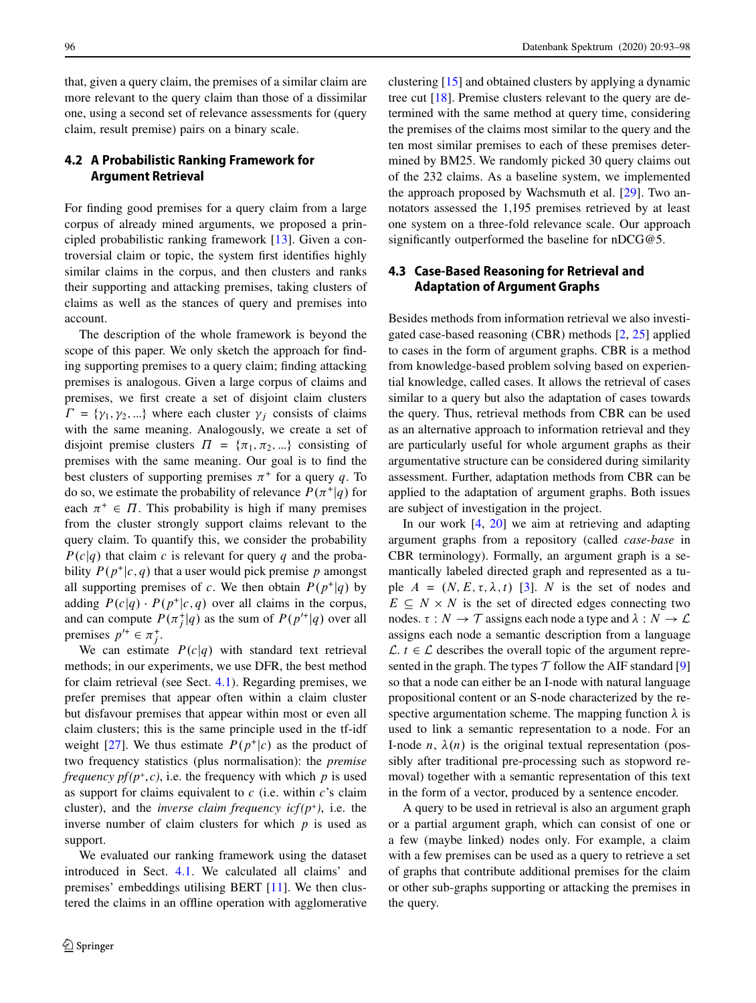that, given a query claim, the premises of a similar claim are more relevant to the query claim than those of a dissimilar one, using a second set of relevance assessments for (query claim, result premise) pairs on a binary scale.

### **4.2 A Probabilistic Ranking Framework for Argument Retrieval**

For finding good premises for a query claim from a large corpus of already mined arguments, we proposed a principled probabilistic ranking framework [\[13\]](#page-5-12). Given a controversial claim or topic, the system first identifies highly similar claims in the corpus, and then clusters and ranks their supporting and attacking premises, taking clusters of claims as well as the stances of query and premises into account.

The description of the whole framework is beyond the scope of this paper. We only sketch the approach for finding supporting premises to a query claim; finding attacking premises is analogous. Given a large corpus of claims and premises, we first create a set of disjoint claim clusters  $\Gamma = \{ \gamma_1, \gamma_2, ...\}$  where each cluster  $\gamma_j$  consists of claims<br>with the same meaning. Analogously, we create a set of with the same meaning. Analogously, we create a set of disjoint premise clusters  $\Pi = {\pi_1, \pi_2, ...}$  consisting of premises with the same meaning. Our goal is to find the best clusters of supporting premises  $\pi^+$  for a query q. To do so, we estimate the probability of relevance  $P(\pi^+|q)$  for each  $\pi^+ \in \Pi$ . This probability is high if many premises from the cluster strongly support claims relevant to the query claim. To quantify this, we consider the probability  $P(c|q)$  that claim c is relevant for query q and the probability  $P(p^+|c,q)$  that a user would pick premise p amongst all supporting premises of c. We then obtain  $P(p^+|q)$  by adding  $P(c|q) \cdot P(p^+|c, q)$  over all claims in the corpus,<br>and can compute  $P(\pi^+|a)$  as the sum of  $P(p'^+|a)$  over all and can compute  $P(\pi_j^+|q)$  as the sum of  $P(p'^+|q)$  over all premises  $n'^+ \in \pi^+$ premises  $p'^{+} \in \pi_j^+$ .<br>We can estimate

We can estimate  $P(c|q)$  with standard text retrieval methods; in our experiments, we use DFR, the best method for claim retrieval (see Sect. [4.1\)](#page-2-0). Regarding premises, we prefer premises that appear often within a claim cluster but disfavour premises that appear within most or even all claim clusters; this is the same principle used in the tf-idf weight [\[27\]](#page-5-13). We thus estimate  $P(p^+|c)$  as the product of two frequency statistics (plus normalisation): the *premise frequency pf(p+,c), i.e.* the frequency with which p is used as support for claims equivalent to  $c$  (i.e. within  $c$ 's claim cluster), and the *inverse claim frequency icf* $(p<sup>+</sup>)$ , i.e. the inverse number of claim clusters for which  $p$  is used as support.

We evaluated our ranking framework using the dataset introduced in Sect. [4.1.](#page-2-0) We calculated all claims' and premises' embeddings utilising BERT [\[11\]](#page-5-14). We then clustered the claims in an offline operation with agglomerative clustering [\[15\]](#page-5-15) and obtained clusters by applying a dynamic tree cut [\[18\]](#page-5-16). Premise clusters relevant to the query are determined with the same method at query time, considering the premises of the claims most similar to the query and the ten most similar premises to each of these premises determined by BM25. We randomly picked 30 query claims out of the 232 claims. As a baseline system, we implemented the approach proposed by Wachsmuth et al. [\[29\]](#page-5-7). Two annotators assessed the 1,195 premises retrieved by at least one system on a three-fold relevance scale. Our approach significantly outperformed the baseline for nDCG@5.

# **4.3 Case-Based Reasoning for Retrieval and Adaptation of Argument Graphs**

Besides methods from information retrieval we also investigated case-based reasoning (CBR) methods [\[2,](#page-5-17) [25\]](#page-5-18) applied to cases in the form of argument graphs. CBR is a method from knowledge-based problem solving based on experiential knowledge, called cases. It allows the retrieval of cases similar to a query but also the adaptation of cases towards the query. Thus, retrieval methods from CBR can be used as an alternative approach to information retrieval and they are particularly useful for whole argument graphs as their argumentative structure can be considered during similarity assessment. Further, adaptation methods from CBR can be applied to the adaptation of argument graphs. Both issues are subject of investigation in the project.

In our work [\[4,](#page-5-19) [20\]](#page-5-20) we aim at retrieving and adapting argument graphs from a repository (called *case-base* in CBR terminology). Formally, an argument graph is a semantically labeled directed graph and represented as a tuple  $A = (N, E, \tau, \lambda, t)$  [\[3\]](#page-5-21). N is the set of nodes and  $E \subseteq N \times N$  is the set of directed edges connecting two nodes.  $\tau : N \to \mathcal{T}$  assigns each node a type and  $\lambda : N \to \mathcal{L}$ assigns each node a semantic description from a language  $\mathcal{L}$ .  $t \in \mathcal{L}$  describes the overall topic of the argument represented in the graph. The types  $\mathcal T$  follow the AIF standard [\[9\]](#page-5-22) so that a node can either be an I-node with natural language propositional content or an S-node characterized by the respective argumentation scheme. The mapping function  $\lambda$  is used to link a semantic representation to a node. For an I-node *n*,  $\lambda(n)$  is the original textual representation (possibly after traditional pre-processing such as stopword removal) together with a semantic representation of this text in the form of a vector, produced by a sentence encoder.

A query to be used in retrieval is also an argument graph or a partial argument graph, which can consist of one or a few (maybe linked) nodes only. For example, a claim with a few premises can be used as a query to retrieve a set of graphs that contribute additional premises for the claim or other sub-graphs supporting or attacking the premises in the query.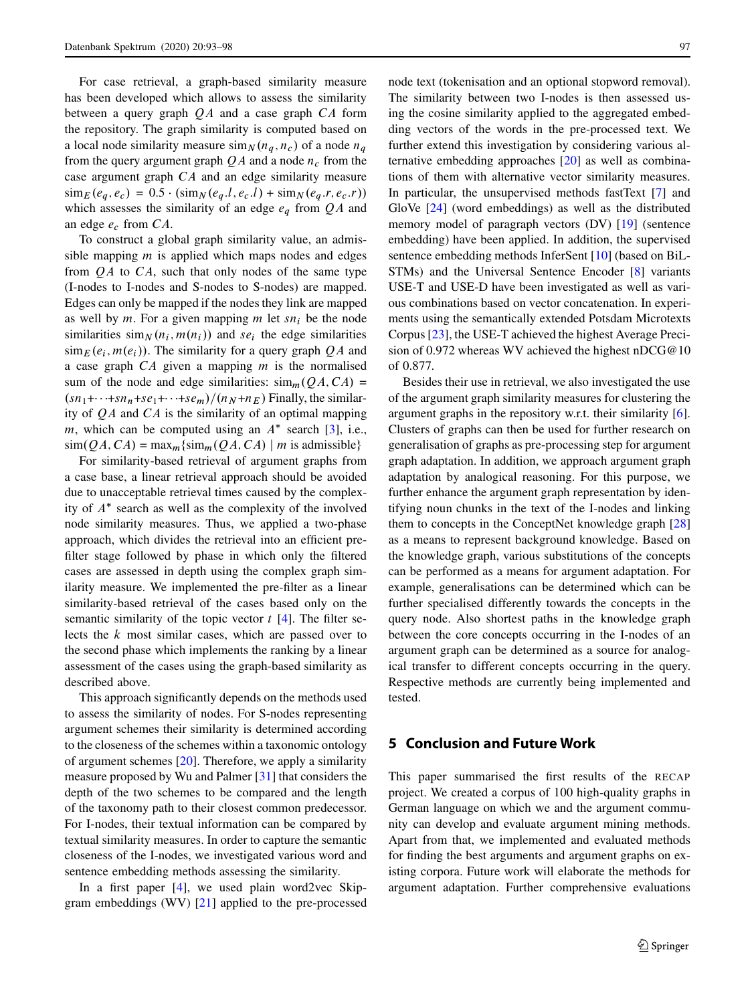For case retrieval, a graph-based similarity measure has been developed which allows to assess the similarity between a query graph  $QA$  and a case graph  $CA$  form the repository. The graph similarity is computed based on a local node similarity measure  $\sin_N(n_q, n_c)$  of a node  $n_q$ from the query argument graph  $QA$  and a node  $n_c$  from the case argument graph CA and an edge similarity measure  $\sin E(e_q, e_c) = 0.5 \cdot (\sin N (e_q.l, e_c.l) + \sin N (e_q.r, e_c.r))$ <br>which assesses the similarity of an edge e, from O 4 and which assesses the similarity of an edge  $e_a$  from  $QA$  and an edge  $e_c$  from  $CA$ .

To construct a global graph similarity value, an admissible mapping  $m$  is applied which maps nodes and edges from  $QA$  to  $CA$ , such that only nodes of the same type (I-nodes to I-nodes and S-nodes to S-nodes) are mapped. Edges can only be mapped if the nodes they link are mapped as well by m. For a given mapping m let  $sn_i$  be the node similarities  $\sin_N(n_i, m(n_i))$  and se<sub>i</sub> the edge similarities  $\sin_{E}(e_{i}, m(e_{i}))$ . The similarity for a query graph OA and a case graph  $CA$  given a mapping  $m$  is the normalised sum of the node and edge similarities:  $\sin_{m}(QA, CA)$  =  $\frac{\frac{s_{n_1}+ \cdots + s_{n_n}+s_{\ell_1}+ \cdots + s_{\ell_m}}{n_N+n_E}$  Finally, the similarity of  $QA$  and  $CA$  is the similarity of an optimal mapping *m*, which can be computed using an  $A^*$  search [\[3\]](#page-5-21), i.e.,  $\text{sim}(QA, CA) = \max_{m} \{\text{sim}_{m}(QA, CA) \mid m \text{ is admissible}\}\$ 

For similarity-based retrieval of argument graphs from a case base, a linear retrieval approach should be avoided due to unacceptable retrieval times caused by the complexity of  $A^*$  search as well as the complexity of the involved node similarity measures. Thus, we applied a two-phase approach, which divides the retrieval into an efficient prefilter stage followed by phase in which only the filtered cases are assessed in depth using the complex graph similarity measure. We implemented the pre-filter as a linear similarity-based retrieval of the cases based only on the semantic similarity of the topic vector  $t$  [\[4\]](#page-5-19). The filter selects the  $k$  most similar cases, which are passed over to the second phase which implements the ranking by a linear assessment of the cases using the graph-based similarity as described above.

This approach significantly depends on the methods used to assess the similarity of nodes. For S-nodes representing argument schemes their similarity is determined according to the closeness of the schemes within a taxonomic ontology of argument schemes [\[20\]](#page-5-20). Therefore, we apply a similarity measure proposed by Wu and Palmer [\[31\]](#page-5-23) that considers the depth of the two schemes to be compared and the length of the taxonomy path to their closest common predecessor. For I-nodes, their textual information can be compared by textual similarity measures. In order to capture the semantic closeness of the I-nodes, we investigated various word and sentence embedding methods assessing the similarity.

In a first paper [\[4\]](#page-5-19), we used plain word2vec Skipgram embeddings (WV)  $[21]$  applied to the pre-processed node text (tokenisation and an optional stopword removal). The similarity between two I-nodes is then assessed using the cosine similarity applied to the aggregated embedding vectors of the words in the pre-processed text. We further extend this investigation by considering various alternative embedding approaches [\[20\]](#page-5-20) as well as combinations of them with alternative vector similarity measures. In particular, the unsupervised methods fastText [\[7\]](#page-5-24) and GloVe [\[24\]](#page-5-25) (word embeddings) as well as the distributed memory model of paragraph vectors (DV) [\[19\]](#page-5-26) (sentence embedding) have been applied. In addition, the supervised sentence embedding methods InferSent [\[10\]](#page-5-27) (based on BiL-STMs) and the Universal Sentence Encoder [\[8\]](#page-5-28) variants USE-T and USE-D have been investigated as well as various combinations based on vector concatenation. In experiments using the semantically extended Potsdam Microtexts Corpus [\[23\]](#page-5-5), the USE-T achieved the highest Average Precision of 0.972 whereas WV achieved the highest nDCG@10 of 0.877.

Besides their use in retrieval, we also investigated the use of the argument graph similarity measures for clustering the argument graphs in the repository w.r.t. their similarity [\[6\]](#page-5-29). Clusters of graphs can then be used for further research on generalisation of graphs as pre-processing step for argument graph adaptation. In addition, we approach argument graph adaptation by analogical reasoning. For this purpose, we further enhance the argument graph representation by identifying noun chunks in the text of the I-nodes and linking them to concepts in the ConceptNet knowledge graph [\[28\]](#page-5-30) as a means to represent background knowledge. Based on the knowledge graph, various substitutions of the concepts can be performed as a means for argument adaptation. For example, generalisations can be determined which can be further specialised differently towards the concepts in the query node. Also shortest paths in the knowledge graph between the core concepts occurring in the I-nodes of an argument graph can be determined as a source for analogical transfer to different concepts occurring in the query. Respective methods are currently being implemented and tested.

### **5 Conclusion and Future Work**

This paper summarised the first results of the RECAP project. We created a corpus of 100 high-quality graphs in German language on which we and the argument community can develop and evaluate argument mining methods. Apart from that, we implemented and evaluated methods for finding the best arguments and argument graphs on existing corpora. Future work will elaborate the methods for argument adaptation. Further comprehensive evaluations